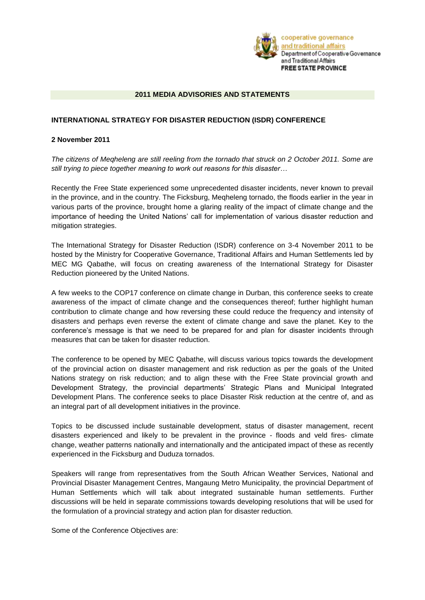

#### **2011 MEDIA ADVISORIES AND STATEMENTS**

#### **INTERNATIONAL STRATEGY FOR DISASTER REDUCTION (ISDR) CONFERENCE**

#### **2 November 2011**

*The citizens of Meqheleng are still reeling from the tornado that struck on 2 October 2011. Some are still trying to piece together meaning to work out reasons for this disaster…*

Recently the Free State experienced some unprecedented disaster incidents, never known to prevail in the province, and in the country. The Ficksburg, Meqheleng tornado, the floods earlier in the year in various parts of the province, brought home a glaring reality of the impact of climate change and the importance of heeding the United Nations' call for implementation of various disaster reduction and mitigation strategies.

The International Strategy for Disaster Reduction (ISDR) conference on 3-4 November 2011 to be hosted by the Ministry for Cooperative Governance, Traditional Affairs and Human Settlements led by MEC MG Qabathe, will focus on creating awareness of the International Strategy for Disaster Reduction pioneered by the United Nations.

A few weeks to the COP17 conference on climate change in Durban, this conference seeks to create awareness of the impact of climate change and the consequences thereof; further highlight human contribution to climate change and how reversing these could reduce the frequency and intensity of disasters and perhaps even reverse the extent of climate change and save the planet. Key to the conference's message is that we need to be prepared for and plan for disaster incidents through measures that can be taken for disaster reduction.

The conference to be opened by MEC Qabathe, will discuss various topics towards the development of the provincial action on disaster management and risk reduction as per the goals of the United Nations strategy on risk reduction; and to align these with the Free State provincial growth and Development Strategy, the provincial departments' Strategic Plans and Municipal Integrated Development Plans. The conference seeks to place Disaster Risk reduction at the centre of, and as an integral part of all development initiatives in the province.

Topics to be discussed include sustainable development, status of disaster management, recent disasters experienced and likely to be prevalent in the province - floods and veld fires- climate change, weather patterns nationally and internationally and the anticipated impact of these as recently experienced in the Ficksburg and Duduza tornados.

Speakers will range from representatives from the South African Weather Services, National and Provincial Disaster Management Centres, Mangaung Metro Municipality, the provincial Department of Human Settlements which will talk about integrated sustainable human settlements. Further discussions will be held in separate commissions towards developing resolutions that will be used for the formulation of a provincial strategy and action plan for disaster reduction.

Some of the Conference Objectives are: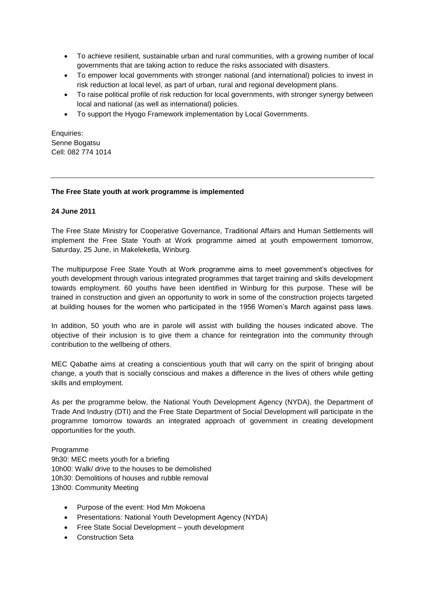- To achieve resilient, sustainable urban and rural communities, with a growing number of local governments that are taking action to reduce the risks associated with disasters.
- To empower local governments with stronger national (and international) policies to invest in risk reduction at local level, as part of urban, rural and regional development plans.
- To raise political profile of risk reduction for local governments, with stronger synergy between local and national (as well as international) policies.
- To support the Hyogo Framework implementation by Local Governments.

Enquiries: Senne Bogatsu Cell: 082 774 1014

#### **The Free State youth at work programme is implemented**

#### **24 June 2011**

The Free State Ministry for Cooperative Governance, Traditional Affairs and Human Settlements will implement the Free State Youth at Work programme aimed at youth empowerment tomorrow, Saturday, 25 June, in Makeleketla, Winburg.

The multipurpose Free State Youth at Work programme aims to meet government's objectives for youth development through various integrated programmes that target training and skills development towards employment. 60 youths have been identified in Winburg for this purpose. These will be trained in construction and given an opportunity to work in some of the construction projects targeted at building houses for the women who participated in the 1956 Women's March against pass laws.

In addition, 50 youth who are in parole will assist with building the houses indicated above. The objective of their inclusion is to give them a chance for reintegration into the community through contribution to the wellbeing of others.

MEC Qabathe aims at creating a conscientious youth that will carry on the spirit of bringing about change, a youth that is socially conscious and makes a difference in the lives of others while getting skills and employment.

As per the programme below, the National Youth Development Agency (NYDA), the Department of Trade And Industry (DTI) and the Free State Department of Social Development will participate in the programme tomorrow towards an integrated approach of government in creating development opportunities for the youth.

Programme

9h30: MEC meets youth for a briefing 10h00: Walk/ drive to the houses to be demolished 10h30: Demolitions of houses and rubble removal 13h00: Community Meeting

- Purpose of the event: Hod Mm Mokoena
- Presentations: National Youth Development Agency (NYDA)
- Free State Social Development youth development
- **Construction Seta**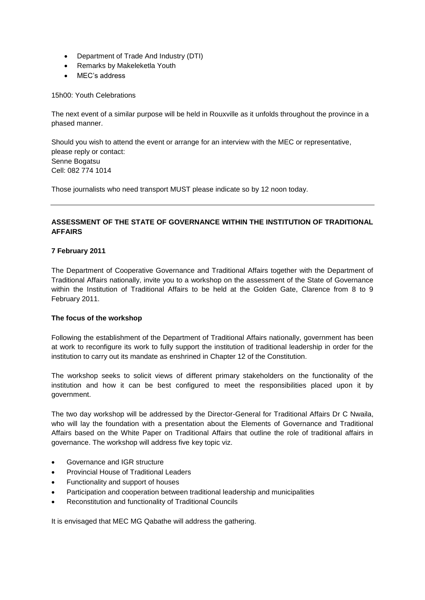- Department of Trade And Industry (DTI)
- Remarks by Makeleketla Youth
- MEC's address

15h00: Youth Celebrations

The next event of a similar purpose will be held in Rouxville as it unfolds throughout the province in a phased manner.

Should you wish to attend the event or arrange for an interview with the MEC or representative, please reply or contact: Senne Bogatsu Cell: 082 774 1014

Those journalists who need transport MUST please indicate so by 12 noon today.

# **ASSESSMENT OF THE STATE OF GOVERNANCE WITHIN THE INSTITUTION OF TRADITIONAL AFFAIRS**

## **7 February 2011**

The Department of Cooperative Governance and Traditional Affairs together with the Department of Traditional Affairs nationally, invite you to a workshop on the assessment of the State of Governance within the Institution of Traditional Affairs to be held at the Golden Gate, Clarence from 8 to 9 February 2011.

## **The focus of the workshop**

Following the establishment of the Department of Traditional Affairs nationally, government has been at work to reconfigure its work to fully support the institution of traditional leadership in order for the institution to carry out its mandate as enshrined in Chapter 12 of the Constitution.

The workshop seeks to solicit views of different primary stakeholders on the functionality of the institution and how it can be best configured to meet the responsibilities placed upon it by government.

The two day workshop will be addressed by the Director-General for Traditional Affairs Dr C Nwaila, who will lay the foundation with a presentation about the Elements of Governance and Traditional Affairs based on the White Paper on Traditional Affairs that outline the role of traditional affairs in governance. The workshop will address five key topic viz.

- Governance and IGR structure
- Provincial House of Traditional Leaders
- Functionality and support of houses
- Participation and cooperation between traditional leadership and municipalities
- Reconstitution and functionality of Traditional Councils

It is envisaged that MEC MG Qabathe will address the gathering.